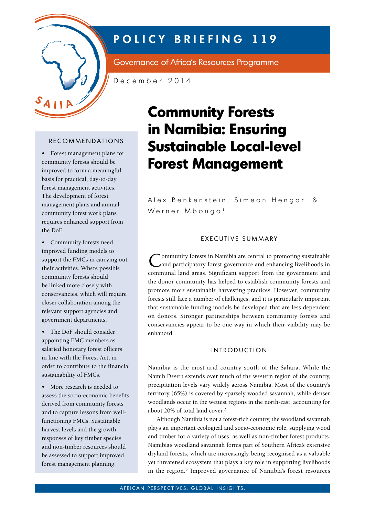

## **POLICY BRIEFING 119**

Governance of Africa's Resources Programme

December 2014

#### **RECOMMENDATIONS**

• Forest management plans for community forests should be improved to form a meaningful basis for practical, day-to-day forest management activities. The development of forest management plans and annual community forest work plans requires enhanced support from the DoE

• Community forests need improved funding models to support the FMCs in carrying out their activities. Where possible, community forests should be linked more closely with conservancies, which will require closer collaboration among the relevant support agencies and government departments.

• The DoF should consider appointing FMC members as salaried honorary forest officers in line with the Forest Act, in order to contribute to the financial sustainability of FMCs.

• More research is needed to assess the socio-economic benefits derived from community forests and to capture lessons from wellfunctioning FMCs. Sustainable harvest levels and the growth responses of key timber species and non-timber resources should be assessed to support improved forest management planning.

# **Community Forests in Namibia: Ensuring Sustainable Local-level Forest Management**

Alex Benkenstein, Simeon Hengari & Werner Mbongo<sup>1</sup>

#### EXECUTIVE SUMMARY

Community forests in Namibia are central to promoting sustainable<br>
Cand participatory forest governance and enhancing livelihoods in communal land areas. Significant support from the government and the donor community has helped to establish community forests and promote more sustainable harvesting practices. However, community forests still face a number of challenges, and it is particularly important that sustainable funding models be developed that are less dependent on donors. Stronger partnerships between community forests and conservancies appear to be one way in which their viability may be enhanced.

#### **INTRODUCTION**

Namibia is the most arid country south of the Sahara. While the Namib Desert extends over much of the western region of the country, precipitation levels vary widely across Namibia. Most of the country's territory (65%) is covered by sparsely wooded savannah, while denser woodlands occur in the wettest regions in the north-east, accounting for about 20% of total land cover.<sup>2</sup>

Although Namibia is not a forest-rich country, the woodland savannah plays an important ecological and socio-economic role, supplying wood and timber for a variety of uses, as well as non-timber forest products. Namibia's woodland savannah forms part of Southern Africa's extensive dryland forests, which are increasingly being recognised as a valuable yet threatened ecosystem that plays a key role in supporting livelihoods in the region.<sup>3</sup> Improved governance of Namibia's forest resources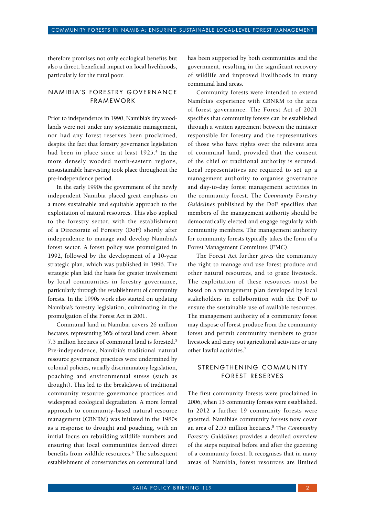therefore promises not only ecological benefits but also a direct, beneficial impact on local livelihoods, particularly for the rural poor.

### NAMIBIA'S FORESTRY GOVERNANCE **FRAMEWORK**

Prior to independence in 1990, Namibia's dry woodlands were not under any systematic management, nor had any forest reserves been proclaimed, despite the fact that forestry governance legislation had been in place since at least 1925.<sup>4</sup> In the more densely wooded north-eastern regions, unsustainable harvesting took place throughout the pre-independence period.

In the early 1990s the government of the newly independent Namibia placed great emphasis on a more sustainable and equitable approach to the exploitation of natural resources. This also applied to the forestry sector, with the establishment of a Directorate of Forestry (DoF) shortly after independence to manage and develop Namibia's forest sector. A forest policy was promulgated in 1992, followed by the development of a 10-year strategic plan, which was published in 1996. The strategic plan laid the basis for greater involvement by local communities in forestry governance, particularly through the establishment of community forests. In the 1990s work also started on updating Namibia's forestry legislation, culminating in the promulgation of the Forest Act in 2001.

Communal land in Namibia covers 26 million hectares, representing 36% of total land cover. About 7.5 million hectares of communal land is forested.5 Pre-independence, Namibia's traditional natural resource governance practices were undermined by colonial policies, racially discriminatory legislation, poaching and environmental stress (such as drought). This led to the breakdown of traditional community resource governance practices and widespread ecological degradation. A more formal approach to community-based natural resource management (CBNRM) was initiated in the 1980s as a response to drought and poaching, with an initial focus on rebuilding wildlife numbers and ensuring that local communities derived direct benefits from wildlife resources.<sup>6</sup> The subsequent establishment of conservancies on communal land has been supported by both communities and the government, resulting in the significant recovery of wildlife and improved livelihoods in many communal land areas.

Community forests were intended to extend Namibia's experience with CBNRM to the area of forest governance. The Forest Act of 2001 specifies that community forests can be established through a written agreement between the minister responsible for forestry and the representatives of those who have rights over the relevant area of communal land, provided that the consent of the chief or traditional authority is secured. Local representatives are required to set up a management authority to organise governance and day-to-day forest management activities in the community forest. The *Community Forestry Guidelines* published by the DoF specifies that members of the management authority should be democratically elected and engage regularly with community members. The management authority for community forests typically takes the form of a Forest Management Committee (FMC).

The Forest Act further gives the community the right to manage and use forest produce and other natural resources, and to graze livestock. The exploitation of these resources must be based on a management plan developed by local stakeholders in collaboration with the DoF to ensure the sustainable use of available resources. The management authority of a community forest may dispose of forest produce from the community forest and permit community members to graze livestock and carry out agricultural activities or any other lawful activities.7

#### STRENGTHENING COMMUNITY FOREST RESERVES

The first community forests were proclaimed in 2006, when 13 community forests were established. In 2012 a further 19 community forests were gazetted. Namibia's community forests now cover an area of 2.55 million hectares.8 The *Community Forestry Guidelines* provides a detailed overview of the steps required before and after the gazetting of a community forest. It recognises that in many areas of Namibia, forest resources are limited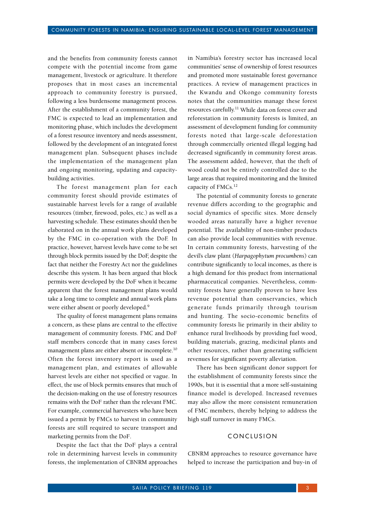and the benefits from community forests cannot compete with the potential income from game management, livestock or agriculture. It therefore proposes that in most cases an incremental approach to community forestry is pursued, following a less burdensome management process. After the establishment of a community forest, the FMC is expected to lead an implementation and monitoring phase, which includes the development of a forest resource inventory and needs assessment, followed by the development of an integrated forest management plan. Subsequent phases include the implementation of the management plan and ongoing monitoring, updating and capacitybuilding activities.

The forest management plan for each community forest should provide estimates of sustainable harvest levels for a range of available resources (timber, firewood, poles, etc.) as well as a harvesting schedule. These estimates should then be elaborated on in the annual work plans developed by the FMC in co-operation with the DoF. In practice, however, harvest levels have come to be set through block permits issued by the DoF, despite the fact that neither the Forestry Act nor the guidelines describe this system. It has been argued that block permits were developed by the DoF when it became apparent that the forest management plans would take a long time to complete and annual work plans were either absent or poorly developed.<sup>9</sup>

The quality of forest management plans remains a concern, as these plans are central to the effective management of community forests. FMC and DoF staff members concede that in many cases forest management plans are either absent or incomplete.<sup>10</sup> Often the forest inventory report is used as a management plan, and estimates of allowable harvest levels are either not specified or vague. In effect, the use of block permits ensures that much of the decision-making on the use of forestry resources remains with the DoF rather than the relevant FMC. For example, commercial harvesters who have been issued a permit by FMCs to harvest in community forests are still required to secure transport and marketing permits from the DoF.

Despite the fact that the DoF plays a central role in determining harvest levels in community forests, the implementation of CBNRM approaches

in Namibia's forestry sector has increased local communities' sense of ownership of forest resources and promoted more sustainable forest governance practices. A review of management practices in the Kwandu and Okongo community forests notes that the communities manage these forest resources carefully.11 While data on forest cover and reforestation in community forests is limited, an assessment of development funding for community forests noted that large-scale deforestation through commercially oriented illegal logging had decreased significantly in community forest areas. The assessment added, however, that the theft of wood could not be entirely controlled due to the large areas that required monitoring and the limited capacity of FMCs.<sup>12</sup>

The potential of community forests to generate revenue differs according to the geographic and social dynamics of specific sites. More densely wooded areas naturally have a higher revenue potential. The availability of non-timber products can also provide local communities with revenue. In certain community forests, harvesting of the devil's claw plant (*Harpagophytum procumbens*) can contribute significantly to local incomes, as there is a high demand for this product from international pharmaceutical companies. Nevertheless, community forests have generally proven to have less revenue potential than conservancies, which generate funds primarily through tourism and hunting. The socio-economic benefits of community forests lie primarily in their ability to enhance rural livelihoods by providing fuel wood, building materials, grazing, medicinal plants and other resources, rather than generating sufficient revenues for significant poverty alleviation.

There has been significant donor support for the establishment of community forests since the 1990s, but it is essential that a more self-sustaining finance model is developed. Increased revenues may also allow the more consistent remuneration of FMC members, thereby helping to address the high staff turnover in many FMCs.

#### **CONCLUSION**

CBNRM approaches to resource governance have helped to increase the participation and buy-in of